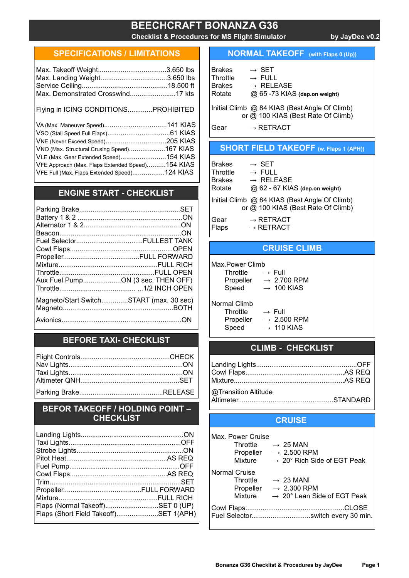# BEECHCRAFT BONANZA G36

Checklist & Procedures for MS Flight Simulator by JayDee v0.2

#### SPECIFICATIONS / LIMITATIONS

| Max. Landing Weight3.650 lbs         |  |
|--------------------------------------|--|
|                                      |  |
| Max. Demonstrated Crosswind17 kts    |  |
|                                      |  |
| Flying in ICING CONDITIONSPROHIBITED |  |

VA (Max. Maneuver Speed).................................141 KIAS VSO (Stall Speed Full Flaps).................................61 KIAS VNE (Never Exceed Speed)................................205 KIAS VNO (Max. Structural Crusing Speed)...................167 KIAS VLE (Max. Gear Extended Speed)........................154 KIAS VFE Approach (Max. Flaps Extended Speed)..........154 KIAS VFE Full (Max. Flaps Extended Speed).................124 KIAS

# ENGINE START - CHECKLIST

| Aux Fuel PumpON (3 sec. THEN OFF)       |
|-----------------------------------------|
|                                         |
| Magneto/Start SwitchSTART (max. 30 sec) |
|                                         |
|                                         |

## BEFORE TAXI- CHECKLIST

#### BEFOR TAKEOFF / HOLDING POINT – **CHECKLIST**

| Flaps (Normal Takeoff)SET 0 (UP)      |  |
|---------------------------------------|--|
| Flaps (Short Field Takeoff)SET 1(APH) |  |
|                                       |  |

## NORMAL TAKEOFF (with Flaps 0 (Up))

| <b>Brakes</b><br>Throttle<br><b>Brakes</b><br>Rotate | $\rightarrow$ SFT<br>$\rightarrow$ FULL<br>$\rightarrow$ RFI FASE<br>@ 65 -73 KIAS (dep.on weight) |
|------------------------------------------------------|----------------------------------------------------------------------------------------------------|
|                                                      | Initial Climb @ 84 KIAS (Best Angle Of Climb)<br>or @ 100 KIAS (Best Rate Of Climb)                |
| Gear                                                 | $\rightarrow$ RETRACT                                                                              |

#### SHORT FIELD TAKEOFF (w. Flaps 1 (APH))

| <b>Brakes</b><br>Throttle<br><b>Brakes</b><br>Rotate | $\rightarrow$ SET<br>$\rightarrow$ FULL<br>$\rightarrow$ RELEASE<br>@ 62 - 67 KIAS (dep.on weight) |
|------------------------------------------------------|----------------------------------------------------------------------------------------------------|
|                                                      | Initial Climb @ 84 KIAS (Best Angle Of Climb)<br>or @ 100 KIAS (Best Rate Of Climb)                |
| Gear<br>Flaps                                        | $\rightarrow$ RETRACT<br>$\rightarrow$ RETRACT                                                     |

#### CRUISE CLIMB

Max.Power Climb

| Throttle  | $\rightarrow$ Full      |
|-----------|-------------------------|
| Propeller | $\rightarrow 2.700$ RPM |
| Speed     | $\rightarrow$ 100 KIAS  |

Normal Climb Throttle  $\rightarrow$  Full

Propeller  $\rightarrow$  2.500 RPM Speed  $\rightarrow$  110 KIAS

# CLIMB - CHECKLIST

| @Transition Altitude |  |
|----------------------|--|

#### Altimeter..................................................STANDARD

## **CRUISE**

| Max. Power Cruise    |                                         |  |
|----------------------|-----------------------------------------|--|
| Throttle             | $\rightarrow 25$ MAN                    |  |
| Propeller            | $\rightarrow 2.500$ RPM                 |  |
| Mixture              | $\rightarrow$ 20° Rich Side of EGT Peak |  |
| <b>Normal Cruise</b> |                                         |  |
| Throttle             | $\rightarrow 23$ MANI                   |  |
|                      | Propeller $\rightarrow$ 2.300 RPM       |  |
| Mixture              | $\rightarrow$ 20° Lean Side of EGT Peak |  |
|                      |                                         |  |
|                      | Fuel Selectorswitch every 30 min.       |  |
|                      |                                         |  |